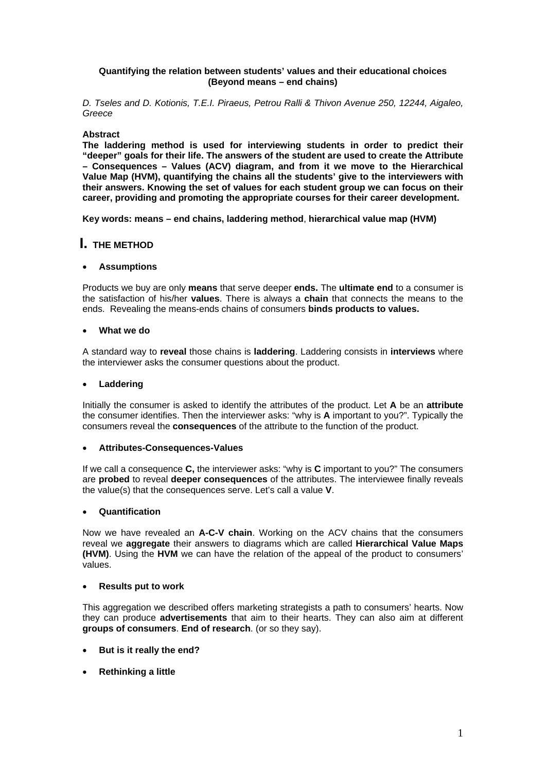### **Quantifying the relation between students' values and their educational choices (Beyond means – end chains)**

*D. Tseles and D. Kotionis, T.E.I. Piraeus, Petrou Ralli & Thivon Avenue 250, 12244, Aigaleo, Greece* 

#### **Abstract**

**The laddering method is used for interviewing students in order to predict their "deeper" goals for their life. The answers of the student are used to create the Attribute – Consequences – Values (ACV) diagram, and from it we move to the Hierarchical Value Map (HVM), quantifying the chains all the students' give to the interviewers with their answers. Knowing the set of values for each student group we can focus on their career, providing and promoting the appropriate courses for their career development.** 

**Key words: means – end chains, laddering method**, **hierarchical value map (HVM)** 

# **I. THE METHOD**

#### **Assumptions**

Products we buy are only **means** that serve deeper **ends.** The **ultimate end** to a consumer is the satisfaction of his/her **values**. There is always a **chain** that connects the means to the ends. Revealing the means-ends chains of consumers **binds products to values.**

#### **What we do**

A standard way to **reveal** those chains is **laddering**. Laddering consists in **interviews** where the interviewer asks the consumer questions about the product.

#### **Laddering**

Initially the consumer is asked to identify the attributes of the product. Let **A** be an **attribute** the consumer identifies. Then the interviewer asks: "why is **A** important to you?". Typically the consumers reveal the **consequences** of the attribute to the function of the product.

#### **Attributes-Consequences-Values**

If we call a consequence **C,** the interviewer asks: "why is **C** important to you?" The consumers are **probed** to reveal **deeper consequences** of the attributes. The interviewee finally reveals the value(s) that the consequences serve. Let's call a value **V**.

#### **Quantification**

Now we have revealed an **A-C-V chain**. Working on the ACV chains that the consumers reveal we **aggregate** their answers to diagrams which are called **Hierarchical Value Maps (HVM)**. Using the **HVM** we can have the relation of the appeal of the product to consumers' values.

#### **Results put to work**

This aggregation we described offers marketing strategists a path to consumers' hearts. Now they can produce **advertisements** that aim to their hearts. They can also aim at different **groups of consumers**. **End of research**. (or so they say).

- **But is it really the end?**
- **Rethinking a little**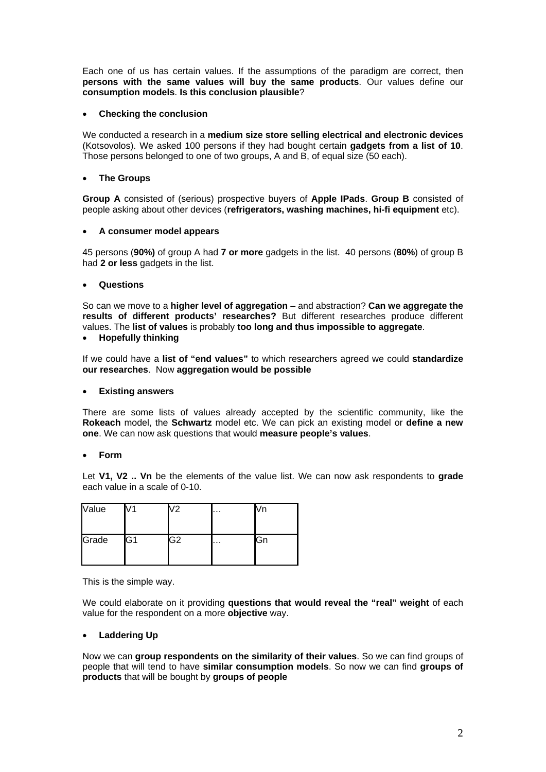Each one of us has certain values. If the assumptions of the paradigm are correct, then **persons with the same values will buy the same products**. Our values define our **consumption models**. **Is this conclusion plausible**?

### **Checking the conclusion**

We conducted a research in a **medium size store selling electrical and electronic devices** (Kotsovolos). We asked 100 persons if they had bought certain **gadgets from a list of 10**. Those persons belonged to one of two groups, A and B, of equal size (50 each).

#### **The Groups**

**Group A** consisted of (serious) prospective buyers of **Apple IPads**. **Group B** consisted of people asking about other devices (**refrigerators, washing machines, hi-fi equipment** etc).

#### **A consumer model appears**

45 persons (**90%)** of group A had **7 or more** gadgets in the list. 40 persons (**80%**) of group B had **2 or less** gadgets in the list.

#### **Questions**

So can we move to a **higher level of aggregation** – and abstraction? **Can we aggregate the results of different products' researches?** But different researches produce different values. The **list of values** is probably **too long and thus impossible to aggregate**.

**Hopefully thinking** 

If we could have a **list of "end values"** to which researchers agreed we could **standardize our researches**. Now **aggregation would be possible**

#### **Existing answers**

There are some lists of values already accepted by the scientific community, like the **Rokeach** model, the **Schwartz** model etc. We can pick an existing model or **define a new one**. We can now ask questions that would **measure people's values**.

#### **Form**

Let **V1, V2 .. Vn** be the elements of the value list. We can now ask respondents to **grade** each value in a scale of 0-10.

| Value |    | V2             | $\cdots$ |             |
|-------|----|----------------|----------|-------------|
| Grade | G1 | G <sub>2</sub> | $\cdots$ | <b>I</b> Gn |

This is the simple way.

We could elaborate on it providing **questions that would reveal the "real" weight** of each value for the respondent on a more **objective** way.

#### **Laddering Up**

Now we can **group respondents on the similarity of their values**. So we can find groups of people that will tend to have **similar consumption models**. So now we can find **groups of products** that will be bought by **groups of people**